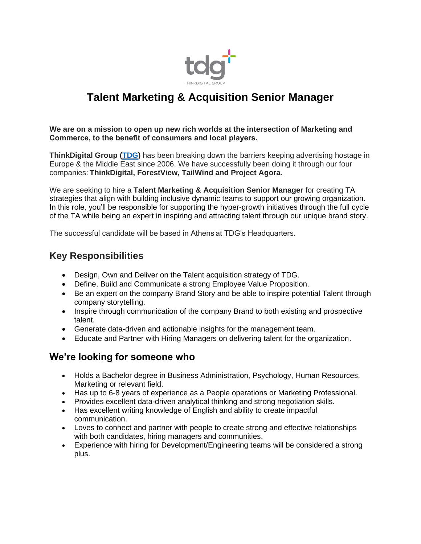

# **Talent Marketing & Acquisition Senior Manager**

**We are on a mission to open up new rich worlds at the intersection of Marketing and Commerce, to the benefit of consumers and local players.**

**ThinkDigital Group [\(TDG\)](https://thinkdigitalgroup.net/)** has been breaking down the barriers keeping advertising hostage in Europe & the Middle East since 2006. We have successfully been doing it through our four companies: **ThinkDigital, ForestView, TailWind and Project Agora.**

We are seeking to hire a **Talent Marketing & Acquisition Senior Manager** for creating TA strategies that align with building inclusive dynamic teams to support our growing organization. In this role, you'll be responsible for supporting the hyper-growth initiatives through the full cycle of the TA while being an expert in inspiring and attracting talent through our unique brand story.

The successful candidate will be based in Athens at TDG's Headquarters.

# **Key Responsibilities**

- Design, Own and Deliver on the Talent acquisition strategy of TDG.
- Define, Build and Communicate a strong Employee Value Proposition.
- Be an expert on the company Brand Story and be able to inspire potential Talent through company storytelling.
- Inspire through communication of the company Brand to both existing and prospective talent.
- Generate data-driven and actionable insights for the management team.
- Educate and Partner with Hiring Managers on delivering talent for the organization.

### **We're looking for someone who**

- Holds a Bachelor degree in Business Administration, Psychology, Human Resources, Marketing or relevant field.
- Has up to 6-8 years of experience as a People operations or Marketing Professional.
- Provides excellent data-driven analytical thinking and strong negotiation skills.
- Has excellent writing knowledge of English and ability to create impactful communication.
- Loves to connect and partner with people to create strong and effective relationships with both candidates, hiring managers and communities.
- Experience with hiring for Development/Engineering teams will be considered a strong plus.